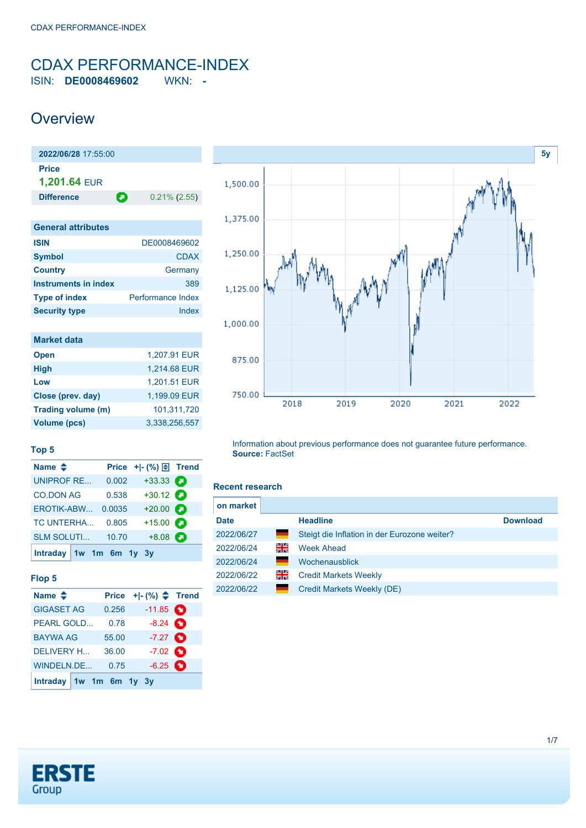## <span id="page-0-0"></span>CDAX PERFORMANCE-INDEX ISIN: **DE0008469602** WKN: **-**

## **Overview**

**2022/06/28** 17:55:00 **Price 1,201.64** EUR **Difference D** 0.21% (2.55)

| <b>General attributes</b> |                          |
|---------------------------|--------------------------|
| <b>ISIN</b>               | DE0008469602             |
| <b>Symbol</b>             | <b>CDAX</b>              |
| <b>Country</b>            | Germany                  |
| Instruments in index      | 389                      |
| <b>Type of index</b>      | <b>Performance Index</b> |
| <b>Security type</b>      | Index                    |

| <b>Market data</b>  |               |
|---------------------|---------------|
| <b>Open</b>         | 1.207.91 EUR  |
| <b>High</b>         | 1,214.68 EUR  |
| Low                 | 1,201.51 EUR  |
| Close (prev. day)   | 1,199.09 EUR  |
| Trading volume (m)  | 101,311,720   |
| <b>Volume (pcs)</b> | 3.338.256.557 |



## **Top 5**

| Name $\triangleq$         |        | Price + - $(\%) \oplus$ Trend |  |
|---------------------------|--------|-------------------------------|--|
| <b>UNIPROF RE</b>         | 0.002  | $+33.33$ $\bullet$            |  |
| <b>CO.DON AG</b>          | 0.538  | $+30.12$ $\odot$              |  |
| EROTIK-ABW                | 0.0035 | $+20.00$                      |  |
| <b>TC UNTERHA</b>         | 0.805  | $+15.00$ $\bullet$            |  |
| <b>SLM SOLUTI</b>         | 10.70  | $+8.08$                       |  |
| Intraday $1w$ 1m 6m 1y 3y |        |                               |  |

## **Flop 5**

| Name $\triangleq$         | <b>Price</b> |                    |   |
|---------------------------|--------------|--------------------|---|
| <b>GIGASET AG</b>         | 0.256        | $-11.85$ $\bullet$ |   |
| <b>PEARL GOLD</b>         | 0.78         | $-8.24$ $\bullet$  |   |
| <b>BAYWA AG</b>           | 55.00        | $-7.27$ $\bullet$  |   |
| <b>DELIVERY H</b>         | 36.00        | $-7.02$ $\bullet$  |   |
| WINDELN.DE                | 0.75         | $-6.25$            | O |
| Intraday $1w$ 1m 6m 1y 3y |              |                    |   |

Information about previous performance does not guarantee future performance. **Source:** FactSet

#### **Recent research**

| on market   |    |                                              |                 |
|-------------|----|----------------------------------------------|-----------------|
| <b>Date</b> |    | <b>Headline</b>                              | <b>Download</b> |
| 2022/06/27  | ٠  | Steigt die Inflation in der Eurozone weiter? |                 |
| 2022/06/24  | 꾉뚢 | <b>Week Ahead</b>                            |                 |
| 2022/06/24  |    | Wochenausblick                               |                 |
| 2022/06/22  | 꾉뚢 | <b>Credit Markets Weekly</b>                 |                 |
| 2022/06/22  | ٠  | Credit Markets Weekly (DE)                   |                 |

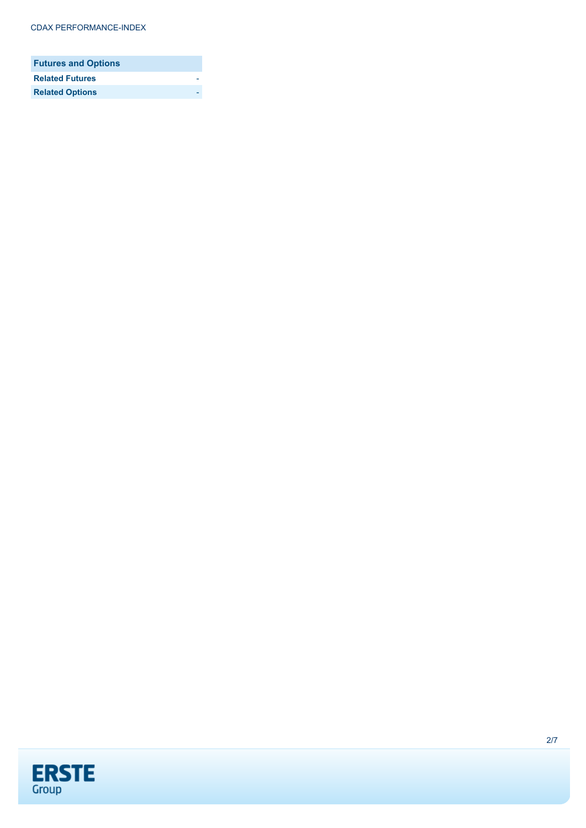| <b>Futures and Options</b> |  |
|----------------------------|--|
| <b>Related Futures</b>     |  |
| <b>Related Options</b>     |  |

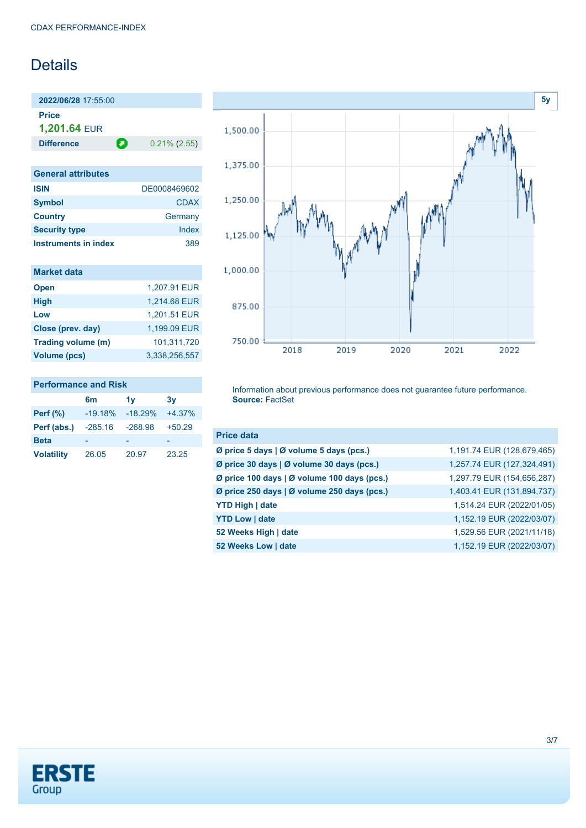# **Details**

**2022/06/28** 17:55:00 **Price 1,201.64** EUR

**Difference 0.21% (2.55)** 

| <b>General attributes</b>   |              |
|-----------------------------|--------------|
| <b>ISIN</b>                 | DE0008469602 |
| <b>Symbol</b>               | CDAX         |
| <b>Country</b>              | Germany      |
| <b>Security type</b>        | Index        |
| <b>Instruments in index</b> | 389          |

| <b>Market data</b>  |               |
|---------------------|---------------|
| <b>Open</b>         | 1,207.91 EUR  |
| <b>High</b>         | 1,214.68 EUR  |
| Low                 | 1.201.51 EUR  |
| Close (prev. day)   | 1,199.09 EUR  |
| Trading volume (m)  | 101,311,720   |
| <b>Volume (pcs)</b> | 3.338.256.557 |

## **Performance and Risk**

|                   | 6 <sub>m</sub> | 1v        | 3v       |
|-------------------|----------------|-----------|----------|
| <b>Perf</b> (%)   | $-19.18%$      | $-18.29%$ | $+4.37%$ |
| Perf (abs.)       | $-285.16$      | $-268.98$ | $+50.29$ |
| <b>Beta</b>       |                |           |          |
| <b>Volatility</b> | 26.05          | 20.97     | 23.25    |



Information about previous performance does not guarantee future performance. **Source:** FactSet

| <b>Price data</b>                           |                            |
|---------------------------------------------|----------------------------|
| Ø price 5 days   Ø volume 5 days (pcs.)     | 1,191.74 EUR (128,679,465) |
| Ø price 30 days   Ø volume 30 days (pcs.)   | 1,257.74 EUR (127,324,491) |
| Ø price 100 days   Ø volume 100 days (pcs.) | 1,297.79 EUR (154,656,287) |
| Ø price 250 days   Ø volume 250 days (pcs.) | 1,403.41 EUR (131,894,737) |
| YTD High   date                             | 1,514.24 EUR (2022/01/05)  |
| <b>YTD Low   date</b>                       | 1,152.19 EUR (2022/03/07)  |
| 52 Weeks High   date                        | 1,529.56 EUR (2021/11/18)  |
| 52 Weeks Low   date                         | 1,152.19 EUR (2022/03/07)  |

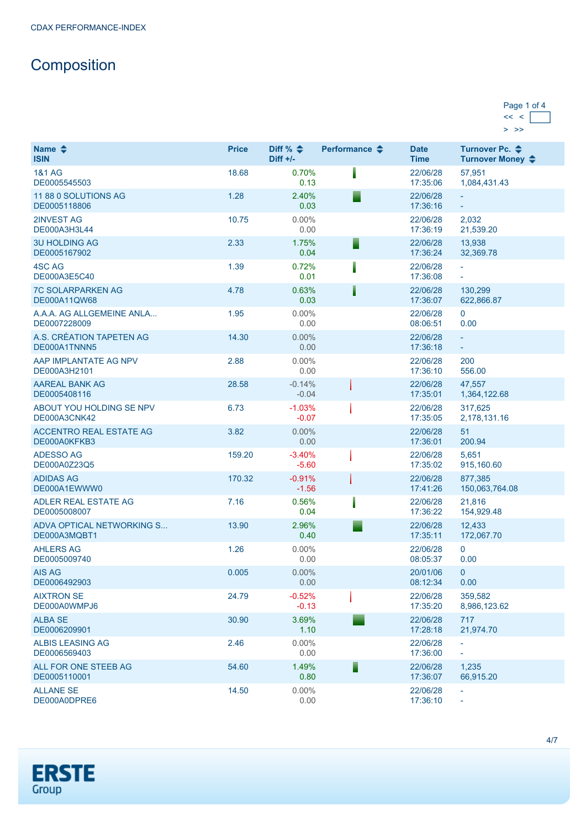# **Composition**

| Page 1 of 4 |  |
|-------------|--|
|             |  |
|             |  |

| Name $\triangle$<br><b>ISIN</b>                | <b>Price</b> | Diff % $\triangleq$<br>$Diff +/-$ | Performance $\triangle$ | <b>Date</b><br><b>Time</b> | Turnover Pc. <b>←</b><br>Turnover Money ♦            |
|------------------------------------------------|--------------|-----------------------------------|-------------------------|----------------------------|------------------------------------------------------|
| <b>1&amp;1 AG</b><br>DE0005545503              | 18.68        | 0.70%<br>0.13                     |                         | 22/06/28<br>17:35:06       | 57,951<br>1,084,431.43                               |
| 11 88 0 SOLUTIONS AG<br>DE0005118806           | 1.28         | 2.40%<br>0.03                     | ▘                       | 22/06/28<br>17:36:16       | ÷                                                    |
| 2INVEST AG<br>DE000A3H3L44                     | 10.75        | $0.00\%$<br>0.00                  |                         | 22/06/28<br>17:36:19       | 2,032<br>21,539.20                                   |
| <b>3U HOLDING AG</b><br>DE0005167902           | 2.33         | 1.75%<br>0.04                     | Е                       | 22/06/28<br>17:36:24       | 13.938<br>32,369.78                                  |
| 4SC AG<br>DE000A3E5C40                         | 1.39         | 0.72%<br>0.01                     |                         | 22/06/28<br>17:36:08       | $\overline{\phantom{a}}$<br>$\overline{\phantom{a}}$ |
| <b>7C SOLARPARKEN AG</b><br>DE000A11QW68       | 4.78         | 0.63%<br>0.03                     |                         | 22/06/28<br>17:36:07       | 130,299<br>622,866.87                                |
| A.A.A. AG ALLGEMEINE ANLA<br>DE0007228009      | 1.95         | $0.00\%$<br>0.00                  |                         | 22/06/28<br>08:06:51       | 0<br>0.00                                            |
| A.S. CRÉATION TAPETEN AG<br>DE000A1TNNN5       | 14.30        | 0.00%<br>0.00                     |                         | 22/06/28<br>17:36:18       | ÷<br>÷                                               |
| AAP IMPLANTATE AG NPV<br>DE000A3H2101          | 2.88         | $0.00\%$<br>0.00                  |                         | 22/06/28<br>17:36:10       | 200<br>556.00                                        |
| <b>AAREAL BANK AG</b><br>DE0005408116          | 28.58        | $-0.14%$<br>$-0.04$               |                         | 22/06/28<br>17:35:01       | 47,557<br>1,364,122.68                               |
| ABOUT YOU HOLDING SE NPV<br>DE000A3CNK42       | 6.73         | $-1.03%$<br>$-0.07$               |                         | 22/06/28<br>17:35:05       | 317,625<br>2,178,131.16                              |
| <b>ACCENTRO REAL ESTATE AG</b><br>DE000A0KFKB3 | 3.82         | 0.00%<br>0.00                     |                         | 22/06/28<br>17:36:01       | 51<br>200.94                                         |
| <b>ADESSO AG</b><br>DE000A0Z23Q5               | 159.20       | $-3.40%$<br>$-5.60$               |                         | 22/06/28<br>17:35:02       | 5,651<br>915,160.60                                  |
| <b>ADIDAS AG</b><br>DE000A1EWWW0               | 170.32       | $-0.91%$<br>$-1.56$               |                         | 22/06/28<br>17:41:26       | 877,385<br>150,063,764.08                            |
| ADLER REAL ESTATE AG<br>DE0005008007           | 7.16         | 0.56%<br>0.04                     |                         | 22/06/28<br>17:36:22       | 21,816<br>154,929.48                                 |
| ADVA OPTICAL NETWORKING S<br>DE000A3MQBT1      | 13.90        | 2.96%<br>0.40                     |                         | 22/06/28<br>17:35:11       | 12,433<br>172,067.70                                 |
| <b>AHLERS AG</b><br>DE0005009740               | 1.26         | $0.00\%$<br>0.00                  |                         | 22/06/28<br>08:05:37       | 0<br>0.00                                            |
| <b>AIS AG</b><br>DE0006492903                  | 0.005        | 0.00%<br>0.00                     |                         | 20/01/06<br>08:12:34       | 0<br>0.00                                            |
| <b>AIXTRON SE</b><br>DE000A0WMPJ6              | 24.79        | $-0.52%$<br>$-0.13$               |                         | 22/06/28<br>17:35:20       | 359,582<br>8,986,123.62                              |
| <b>ALBA SE</b><br>DE0006209901                 | 30.90        | 3.69%<br>1.10                     |                         | 22/06/28<br>17:28:18       | 717<br>21,974.70                                     |
| <b>ALBIS LEASING AG</b><br>DE0006569403        | 2.46         | $0.00\%$<br>0.00                  |                         | 22/06/28<br>17:36:00       | $\overline{\phantom{a}}$<br>$\overline{\phantom{a}}$ |
| ALL FOR ONE STEEB AG<br>DE0005110001           | 54.60        | 1.49%<br>0.80                     | Ē                       | 22/06/28<br>17:36:07       | 1,235<br>66,915.20                                   |
| <b>ALLANE SE</b><br>DE000A0DPRE6               | 14.50        | $0.00\%$<br>0.00                  |                         | 22/06/28<br>17:36:10       | ÷                                                    |

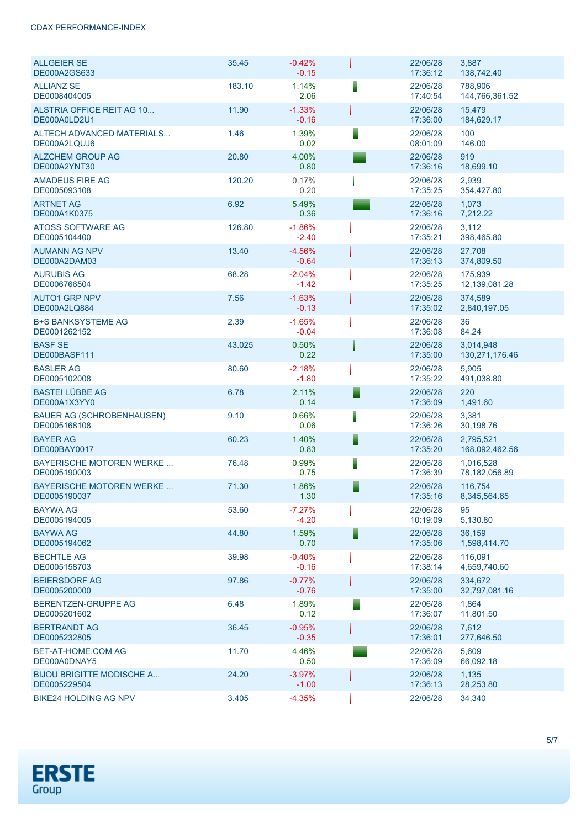#### CDAX PERFORMANCE-INDEX

| <b>ALLGEIER SE</b><br>DE000A2GS633               | 35.45  | $-0.42%$<br>$-0.15$ |   | 22/06/28<br>17:36:12 | 3,887<br>138,742.40          |
|--------------------------------------------------|--------|---------------------|---|----------------------|------------------------------|
| <b>ALLIANZ SE</b><br>DE0008404005                | 183.10 | 1.14%<br>2.06       |   | 22/06/28<br>17:40:54 | 788,906<br>144,766,361.52    |
| ALSTRIA OFFICE REIT AG 10<br>DE000A0LD2U1        | 11.90  | $-1.33%$<br>$-0.16$ |   | 22/06/28<br>17:36:00 | 15,479<br>184,629.17         |
| <b>ALTECH ADVANCED MATERIALS</b><br>DE000A2LQUJ6 | 1.46   | 1.39%<br>0.02       |   | 22/06/28<br>08:01:09 | 100<br>146.00                |
| <b>ALZCHEM GROUP AG</b><br>DE000A2YNT30          | 20.80  | 4.00%<br>0.80       |   | 22/06/28<br>17:36:16 | 919<br>18,699.10             |
| <b>AMADEUS FIRE AG</b><br>DE0005093108           | 120.20 | 0.17%<br>0.20       |   | 22/06/28<br>17:35:25 | 2,939<br>354,427.80          |
| <b>ARTNET AG</b><br>DE000A1K0375                 | 6.92   | 5.49%<br>0.36       |   | 22/06/28<br>17:36:16 | 1,073<br>7,212.22            |
| ATOSS SOFTWARE AG<br>DE0005104400                | 126.80 | $-1.86%$<br>$-2.40$ |   | 22/06/28<br>17:35:21 | 3,112<br>398,465.80          |
| <b>AUMANN AG NPV</b><br>DE000A2DAM03             | 13.40  | $-4.56%$<br>$-0.64$ |   | 22/06/28<br>17:36:13 | 27,708<br>374,809.50         |
| <b>AURUBIS AG</b><br>DE0006766504                | 68.28  | $-2.04%$<br>$-1.42$ |   | 22/06/28<br>17:35:25 | 175,939<br>12,139,081.28     |
| <b>AUTO1 GRP NPV</b><br><b>DE000A2LQ884</b>      | 7.56   | $-1.63%$<br>$-0.13$ |   | 22/06/28<br>17:35:02 | 374,589<br>2,840,197.05      |
| <b>B+S BANKSYSTEME AG</b><br>DE0001262152        | 2.39   | $-1.65%$<br>$-0.04$ |   | 22/06/28<br>17:36:08 | 36<br>84.24                  |
| <b>BASF SE</b><br>DE000BASF111                   | 43.025 | 0.50%<br>0.22       |   | 22/06/28<br>17:35:00 | 3,014,948<br>130,271,176.46  |
| <b>BASLER AG</b><br>DE0005102008                 | 80.60  | $-2.18%$<br>$-1.80$ |   | 22/06/28<br>17:35:22 | 5,905<br>491,038.80          |
| <b>BASTEI LÜBBE AG</b><br>DE000A1X3YY0           | 6.78   | 2.11%<br>0.14       |   | 22/06/28<br>17:36:09 | 220<br>1,491.60              |
| <b>BAUER AG (SCHROBENHAUSEN)</b><br>DE0005168108 | 9.10   | 0.66%<br>0.06       |   | 22/06/28<br>17:36:26 | 3,381<br>30,198.76           |
| <b>BAYER AG</b><br>DE000BAY0017                  | 60.23  | 1.40%<br>0.83       | ▋ | 22/06/28<br>17:35:20 | 2,795,521<br>168,092,462.56  |
| <b>BAYERISCHE MOTOREN WERKE</b><br>DE0005190003  | 76.48  | 0.99%<br>0.75       | ▌ | 22/06/28<br>17:36:39 | 1,016,528<br>78, 182, 056.89 |
| <b>BAYERISCHE MOTOREN WERKE</b><br>DE0005190037  | 71.30  | 1.86%<br>1.30       | ▉ | 22/06/28<br>17:35:16 | 116,754<br>8,345,564.65      |
| <b>BAYWA AG</b><br>DE0005194005                  | 53.60  | $-7.27%$<br>$-4.20$ |   | 22/06/28<br>10:19:09 | 95<br>5,130.80               |
| <b>BAYWA AG</b><br>DE0005194062                  | 44.80  | 1.59%<br>0.70       | ▋ | 22/06/28<br>17:35:06 | 36.159<br>1,598,414.70       |
| <b>BECHTLE AG</b><br>DE0005158703                | 39.98  | $-0.40%$<br>$-0.16$ |   | 22/06/28<br>17:38:14 | 116.091<br>4,659,740.60      |
| <b>BEIERSDORF AG</b><br>DE0005200000             | 97.86  | $-0.77%$<br>$-0.76$ |   | 22/06/28<br>17:35:00 | 334,672<br>32,797,081.16     |
| BERENTZEN-GRUPPE AG<br>DE0005201602              | 6.48   | 1.89%<br>0.12       | ▀ | 22/06/28<br>17:36:07 | 1,864<br>11,801.50           |
| <b>BERTRANDT AG</b><br>DE0005232805              | 36.45  | $-0.95%$<br>$-0.35$ |   | 22/06/28<br>17:36:01 | 7,612<br>277,646.50          |
| BET-AT-HOME.COM AG<br>DE000A0DNAY5               | 11.70  | 4.46%<br>0.50       |   | 22/06/28<br>17:36:09 | 5,609<br>66,092.18           |
| <b>BIJOU BRIGITTE MODISCHE A</b><br>DE0005229504 | 24.20  | $-3.97%$<br>$-1.00$ |   | 22/06/28<br>17:36:13 | 1,135<br>28,253.80           |
| <b>BIKE24 HOLDING AG NPV</b>                     | 3.405  | $-4.35%$            |   | 22/06/28             | 34,340                       |

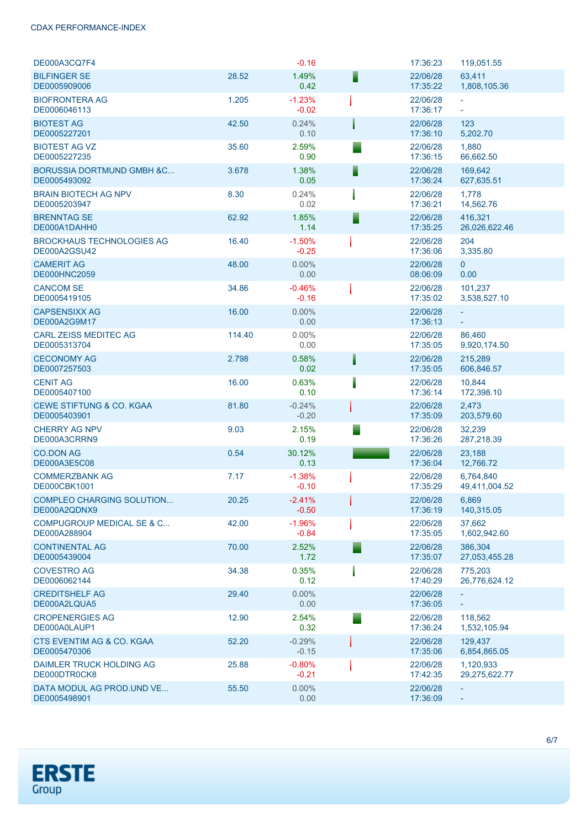### CDAX PERFORMANCE-INDEX

| DE000A3CQ7F4                                         |        | $-0.16$             |   | 17:36:23             | 119,051.55                      |
|------------------------------------------------------|--------|---------------------|---|----------------------|---------------------------------|
| <b>BILFINGER SE</b><br>DE0005909006                  | 28.52  | 1.49%<br>0.42       | ▘ | 22/06/28<br>17:35:22 | 63,411<br>1,808,105.36          |
| <b>BIOFRONTERA AG</b><br>DE0006046113                | 1.205  | $-1.23%$<br>$-0.02$ |   | 22/06/28<br>17:36:17 | $\bar{\phantom{a}}$<br>$\equiv$ |
| <b>BIOTEST AG</b><br>DE0005227201                    | 42.50  | 0.24%<br>0.10       |   | 22/06/28<br>17:36:10 | 123<br>5,202.70                 |
| <b>BIOTEST AG VZ</b><br>DE0005227235                 | 35.60  | 2.59%<br>0.90       |   | 22/06/28<br>17:36:15 | 1,880<br>66,662.50              |
| <b>BORUSSIA DORTMUND GMBH &amp;C</b><br>DE0005493092 | 3.678  | 1.38%<br>0.05       | Ξ | 22/06/28<br>17:36:24 | 169,642<br>627,635.51           |
| <b>BRAIN BIOTECH AG NPV</b><br>DE0005203947          | 8.30   | 0.24%<br>0.02       |   | 22/06/28<br>17:36:21 | 1,778<br>14,562.76              |
| <b>BRENNTAG SE</b><br>DE000A1DAHH0                   | 62.92  | 1.85%<br>1.14       | Ξ | 22/06/28<br>17:35:25 | 416,321<br>26,026,622.46        |
| <b>BROCKHAUS TECHNOLOGIES AG</b><br>DE000A2GSU42     | 16.40  | $-1.50%$<br>$-0.25$ |   | 22/06/28<br>17:36:06 | 204<br>3,335.80                 |
| <b>CAMERIT AG</b><br><b>DE000HNC2059</b>             | 48.00  | 0.00%<br>0.00       |   | 22/06/28<br>08:06:09 | $\mathbf{0}$<br>0.00            |
| <b>CANCOM SE</b><br>DE0005419105                     | 34.86  | $-0.46%$<br>$-0.16$ |   | 22/06/28<br>17:35:02 | 101,237<br>3,538,527.10         |
| <b>CAPSENSIXX AG</b><br>DE000A2G9M17                 | 16.00  | 0.00%<br>0.00       |   | 22/06/28<br>17:36:13 | $\omega$<br>÷,                  |
| <b>CARL ZEISS MEDITEC AG</b><br>DE0005313704         | 114.40 | $0.00\%$<br>0.00    |   | 22/06/28<br>17:35:05 | 86,460<br>9,920,174.50          |
| <b>CECONOMY AG</b><br>DE0007257503                   | 2.798  | 0.58%<br>0.02       |   | 22/06/28<br>17:35:05 | 215,289<br>606,846.57           |
| <b>CENIT AG</b><br>DE0005407100                      | 16.00  | 0.63%<br>0.10       |   | 22/06/28<br>17:36:14 | 10,844<br>172,398.10            |
| <b>CEWE STIFTUNG &amp; CO. KGAA</b><br>DE0005403901  | 81.80  | $-0.24%$<br>$-0.20$ |   | 22/06/28<br>17:35:09 | 2,473<br>203,579.60             |
| <b>CHERRY AG NPV</b><br>DE000A3CRRN9                 | 9.03   | 2.15%<br>0.19       |   | 22/06/28<br>17:36:26 | 32,239<br>287,218.39            |
| <b>CO.DON AG</b><br><b>DE000A3E5C08</b>              | 0.54   | 30.12%<br>0.13      |   | 22/06/28<br>17:36:04 | 23.188<br>12,766.72             |
| <b>COMMERZBANK AG</b><br>DE000CBK1001                | 7.17   | $-1.38%$<br>$-0.10$ |   | 22/06/28<br>17:35:29 | 6,764,840<br>49,411,004.52      |
| <b>COMPLEO CHARGING SOLUTION</b><br>DE000A2QDNX9     | 20.25  | $-2.41%$<br>$-0.50$ |   | 22/06/28<br>17:36:19 | 6,869<br>140,315.05             |
| <b>COMPUGROUP MEDICAL SE &amp; C</b><br>DE000A288904 | 42.00  | $-1.96%$<br>$-0.84$ |   | 22/06/28<br>17:35:05 | 37,662<br>1,602,942.60          |
| <b>CONTINENTAL AG</b><br>DE0005439004                | 70.00  | 2.52%<br>1.72       |   | 22/06/28<br>17:35:07 | 386.304<br>27,053,455.28        |
| <b>COVESTRO AG</b><br>DE0006062144                   | 34.38  | 0.35%<br>0.12       |   | 22/06/28<br>17:40:29 | 775.203<br>26,776,624.12        |
| <b>CREDITSHELF AG</b><br>DE000A2LQUA5                | 29.40  | $0.00\%$<br>0.00    |   | 22/06/28<br>17:36:05 |                                 |
| <b>CROPENERGIES AG</b><br>DE000A0LAUP1               | 12.90  | 2.54%<br>0.32       |   | 22/06/28<br>17:36:24 | 118.562<br>1,532,105.94         |
| CTS EVENTIM AG & CO. KGAA<br>DE0005470306            | 52.20  | $-0.29%$<br>$-0.15$ |   | 22/06/28<br>17:35:06 | 129,437<br>6,854,865.05         |
| DAIMLER TRUCK HOLDING AG<br>DE000DTR0CK8             | 25.88  | $-0.80%$<br>$-0.21$ |   | 22/06/28<br>17:42:35 | 1,120,933<br>29,275,622.77      |
| DATA MODUL AG PROD.UND VE<br>DE0005498901            | 55.50  | $0.00\%$<br>0.00    |   | 22/06/28<br>17:36:09 | $\sim$                          |